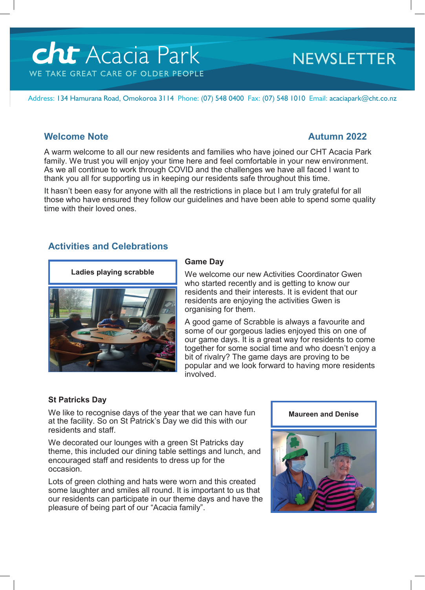# Acacia Park WE TAKE GREAT CARE OF OLDER PEOPLE

# **NEWSLETTER**

Address: 134 Hamurana Road, Omokoroa 3114 Phone: (07) 548 0400 Fax: (07) 548 1010 Email: acaciapark@cht.co.nz

# **Welcome Note Autumn 2022**

A warm welcome to all our new residents and families who have joined our CHT Acacia Park family. We trust you will enjoy your time here and feel comfortable in your new environment. As we all continue to work through COVID and the challenges we have all faced I want to thank you all for supporting us in keeping our residents safe throughout this time.

It hasn't been easy for anyone with all the restrictions in place but I am truly grateful for all those who have ensured they follow our guidelines and have been able to spend some quality time with their loved ones.

# **Activities and Celebrations**



### **Game Day**

We welcome our new Activities Coordinator Gwen who started recently and is getting to know our residents and their interests. It is evident that our residents are enjoying the activities Gwen is organising for them.

A good game of Scrabble is always a favourite and some of our gorgeous ladies enjoyed this on one of our game days. It is a great way for residents to come together for some social time and who doesn't enjoy a bit of rivalry? The game days are proving to be popular and we look forward to having more residents involved.

### **St Patricks Day**

We like to recognise days of the year that we can have fun at the facility. So on St Patrick's Day we did this with our residents and staff.

We decorated our lounges with a green St Patricks day theme, this included our dining table settings and lunch, and encouraged staff and residents to dress up for the occasion.

Lots of green clothing and hats were worn and this created some laughter and smiles all round. It is important to us that our residents can participate in our theme days and have the pleasure of being part of our "Acacia family".

#### **Maureen and Denise**